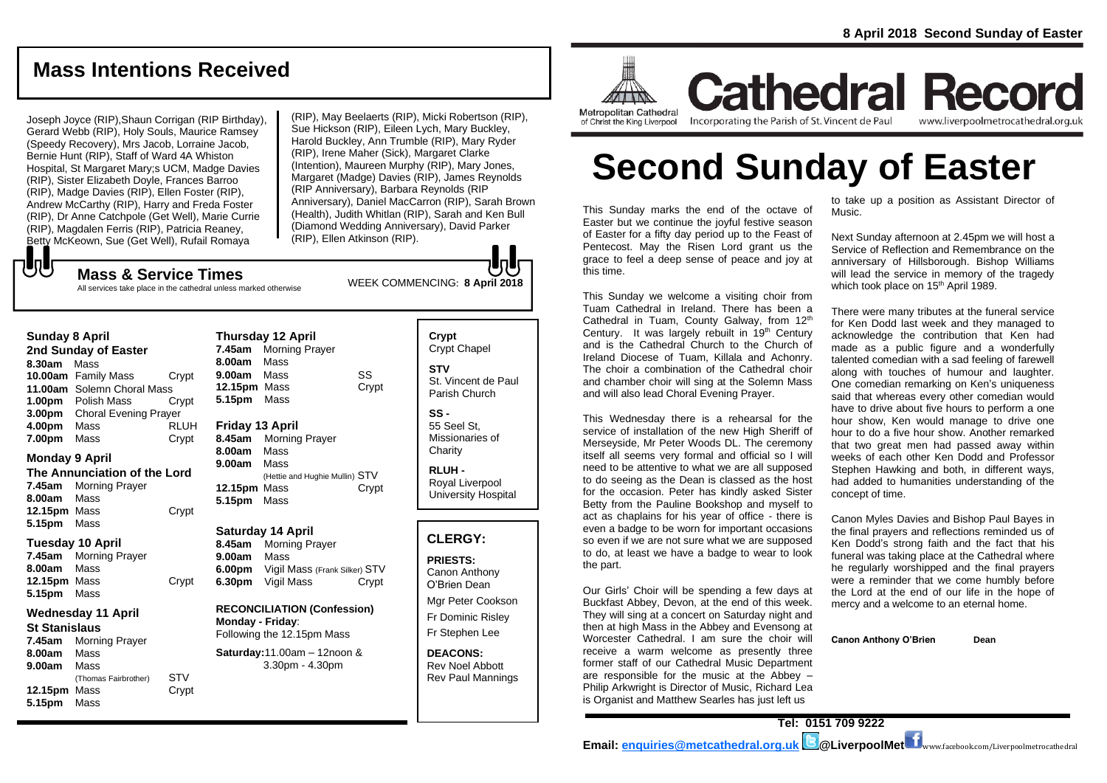## **Mass Intentions Received**

Joseph Joyce (RIP),Shaun Corrigan (RIP Birthday), Gerard Webb (RIP), Holy Souls, Maurice Ramsey (Speedy Recovery), Mrs Jacob, Lorraine Jacob, Bernie Hunt (RIP), Staff of Ward 4A Whiston Hospital, St Margaret Mary;s UCM, Madge Davies (RIP), Sister Elizabeth Doyle, Frances Barroo (RIP), Madge Davies (RIP), Ellen Foster (RIP), Andrew McCarthy (RIP), Harry and Freda Foster (RIP), Dr Anne Catchpole (Get Well), Marie Currie (RIP), Magdalen Ferris (RIP), Patricia Reaney, Betty McKeown, Sue (Get Well), Rufail Romaya

(RIP), May Beelaerts (RIP), Micki Robertson (RIP), Sue Hickson (RIP), Eileen Lych, Mary Buckley, Harold Buckley, Ann Trumble (RIP), Mary Ryder (RIP), Irene Maher (Sick), Margaret Clarke (Intention), Maureen Murphy (RIP), Mary Jones, Margaret (Madge) Davies (RIP), James Reynolds (RIP Anniversary), Barbara Reynolds (RIP Anniversary), Daniel MacCarron (RIP), Sarah Brown (Health), Judith Whitlan (RIP), Sarah and Ken Bull (Diamond Wedding Anniversary), David Parker (RIP), Ellen Atkinson (RIP).

もし

WEEK COMMENCING: **8 April <sup>2018</sup> Mass & Service Times** All services take place in the cathedral unless marked otherwise

#### **Sunday 8 April**

**2nd Sunday of Easter 8.30am** Mass **10.00am** Family Mass Crypt **11.00am** Solemn Choral Mass **1.00pm** Polish Mass Crypt **3.00pm** Choral Evening Prayer **4.00pm** Mass RLUH **7.00pm** Mass Crypt

#### **Monday 9 April**

**The Annunciation of the Lord 7.45am** Morning Prayer **8.00am** Mass **12.15pm** Mass Crypt **5.15pm** Mass

#### **Tuesday 10 April**

**7.45am** Morning Prayer **8.00am** Mass **12.15pm** Mass Crypt **5.15pm** Mass

#### **Wednesday 11 April**

**St Stanislaus 7.45am** Morning Prayer **8.00am** Mass **9.00am** Mass (Thomas Fairbrother) STV **12.15pm** Mass **Crypt 5.15pm** Mass

**Thursday 12 April 7.45am** Morning Prayer **8.00am** Mass **9.00am** Mass SS **12.15pm** Mass Crypt **5.15pm** Mass **Friday 13 April 8.45am** Morning Prayer **8.00am** Mass

**9.00am** Mass (Hettie and Hughie Mullin) STV 12.15pm Mass **Crypt** 

#### **Saturday 14 April**

**5.15pm** Mass

**8.45am** Morning Prayer **9.00am** Mass **6.00pm** Vigil Mass (Frank Silker) STV **6.30pm** Vigil Mass Crypt

**RECONCILIATION (Confession) Monday - Friday**: Following the 12.15pm Mass

**Saturday:**11.00am – 12noon & 3.30pm - 4.30pm

**Crypt**  Crypt Chapel **STV** St. Vincent de Paul Parish Church

**SS -** 55 Seel St, Missionaries of **Charity** 

**RLUH -** Royal Liverpool University Hospital

#### **CLERGY:**

**PRIESTS:** Canon Anthony O'Brien *Dean*

Mgr Peter Cookson Fr Dominic Risley Fr Stephen Lee

**DEACONS:** Rev Noel Abbott Rev Paul Mannings



**Cathedral Record** Incorporating the Parish of St. Vincent de Paul www.liverpoolmetrocathedral.org.uk

# **Second Sunday of Easter**

This Sunday marks the end of the octave of Easter but we continue the joyful festive season of Easter for a fifty day period up to the Feast of Pentecost. May the Risen Lord grant us the grace to feel a deep sense of peace and joy at this time.

This Sunday we welcome a visiting choir from Tuam Cathedral in Ireland. There has been a Cathedral in Tuam, County Galway, from 12<sup>th</sup> Century. It was largely rebuilt in 19<sup>th</sup> Century and is the Cathedral Church to the Church of Ireland Diocese of Tuam, Killala and Achonry. The choir a combination of the Cathedral choir and chamber choir will sing at the Solemn Mass and will also lead Choral Evening Prayer.

This Wednesday there is a rehearsal for the service of installation of the new High Sheriff of Merseyside, Mr Peter Woods DL. The ceremony itself all seems very formal and official so I will need to be attentive to what we are all supposed to do seeing as the Dean is classed as the host for the occasion. Peter has kindly asked Sister Betty from the Pauline Bookshop and myself to act as chaplains for his year of office - there is even a badge to be worn for important occasions so even if we are not sure what we are supposed to do, at least we have a badge to wear to look the part.

Our Girls' Choir will be spending a few days at Buckfast Abbey, Devon, at the end of this week. They will sing at a concert on Saturday night and then at high Mass in the Abbey and Evensong at Worcester Cathedral. I am sure the choir will receive a warm welcome as presently three former staff of our Cathedral Music Department are responsible for the music at the Abbey – Philip Arkwright is Director of Music, Richard Lea is Organist and Matthew Searles has just left us

to take up a position as Assistant Director of Music.

Next Sunday afternoon at 2.45pm we will host a Service of Reflection and Remembrance on the anniversary of Hillsborough. Bishop Williams will lead the service in memory of the tragedy which took place on 15<sup>th</sup> April 1989.

There were many tributes at the funeral service for Ken Dodd last week and they managed to acknowledge the contribution that Ken had made as a public figure and a wonderfully talented comedian with a sad feeling of farewell along with touches of humour and laughter. One comedian remarking on Ken's uniqueness said that whereas every other comedian would have to drive about five hours to perform a one hour show, Ken would manage to drive one hour to do a five hour show. Another remarked that two great men had passed away within weeks of each other Ken Dodd and Professor Stephen Hawking and both, in different ways, had added to humanities understanding of the concept of time.

Canon Myles Davies and Bishop Paul Bayes in the final prayers and reflections reminded us of Ken Dodd's strong faith and the fact that his funeral was taking place at the Cathedral where he regularly worshipped and the final prayers were a reminder that we come humbly before the Lord at the end of our life in the hope of mercy and a welcome to an eternal home.

**Canon Anthony O'Brien Dean**